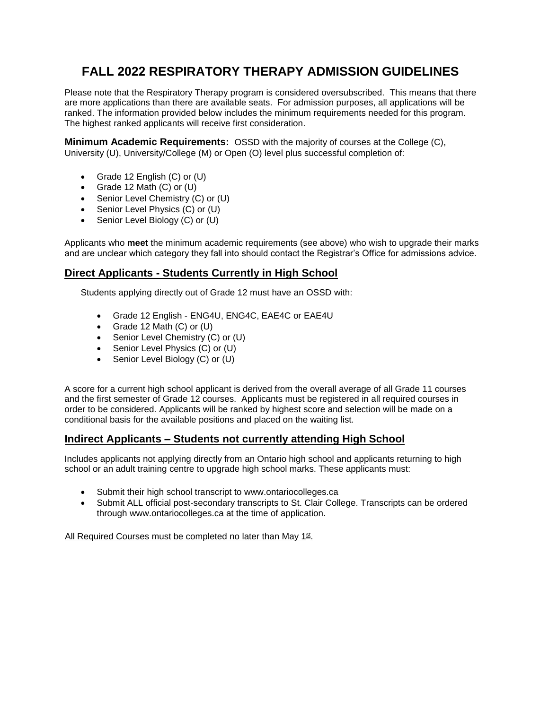# **FALL 2022 RESPIRATORY THERAPY ADMISSION GUIDELINES**

Please note that the Respiratory Therapy program is considered oversubscribed. This means that there are more applications than there are available seats. For admission purposes, all applications will be ranked. The information provided below includes the minimum requirements needed for this program. The highest ranked applicants will receive first consideration.

**Minimum Academic Requirements:** OSSD with the majority of courses at the College (C), University (U), University/College (M) or Open (O) level plus successful completion of:

- Grade 12 English  $(C)$  or  $(U)$
- Grade 12 Math  $(C)$  or  $(U)$
- Senior Level Chemistry (C) or (U)
- Senior Level Physics (C) or (U)
- Senior Level Biology (C) or (U)

Applicants who **meet** the minimum academic requirements (see above) who wish to upgrade their marks and are unclear which category they fall into should contact the Registrar's Office for admissions advice.

### **Direct Applicants - Students Currently in High School**

Students applying directly out of Grade 12 must have an OSSD with:

- Grade 12 English ENG4U, ENG4C, EAE4C or EAE4U
- Grade 12 Math (C) or (U)
- Senior Level Chemistry (C) or (U)
- Senior Level Physics (C) or (U)
- Senior Level Biology (C) or (U)

A score for a current high school applicant is derived from the overall average of all Grade 11 courses and the first semester of Grade 12 courses. Applicants must be registered in all required courses in order to be considered. Applicants will be ranked by highest score and selection will be made on a conditional basis for the available positions and placed on the waiting list.

## **Indirect Applicants – Students not currently attending High School**

Includes applicants not applying directly from an Ontario high school and applicants returning to high school or an adult training centre to upgrade high school marks. These applicants must:

- Submit their high school transcript to www.ontariocolleges.ca
- Submit ALL official post-secondary transcripts to St. Clair College. Transcripts can be ordered through www.ontariocolleges.ca at the time of application.

All Required Courses must be completed no later than May 1st.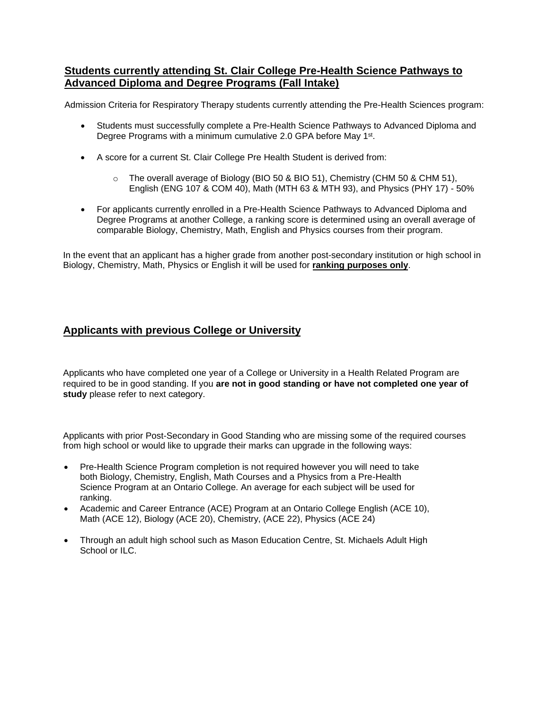### **Students currently attending St. Clair College Pre-Health Science Pathways to Advanced Diploma and Degree Programs (Fall Intake)**

Admission Criteria for Respiratory Therapy students currently attending the Pre-Health Sciences program:

- Students must successfully complete a Pre-Health Science Pathways to Advanced Diploma and Degree Programs with a minimum cumulative 2.0 GPA before May 1<sup>st</sup>.
- A score for a current St. Clair College Pre Health Student is derived from:
	- $\circ$  The overall average of Biology (BIO 50 & BIO 51), Chemistry (CHM 50 & CHM 51), English (ENG 107 & COM 40), Math (MTH 63 & MTH 93), and Physics (PHY 17) - 50%
- For applicants currently enrolled in a Pre-Health Science Pathways to Advanced Diploma and Degree Programs at another College, a ranking score is determined using an overall average of comparable Biology, Chemistry, Math, English and Physics courses from their program.

In the event that an applicant has a higher grade from another post-secondary institution or high school in Biology, Chemistry, Math, Physics or English it will be used for **ranking purposes only**.

#### **Applicants with previous College or University**

Applicants who have completed one year of a College or University in a Health Related Program are required to be in good standing. If you **are not in good standing or have not completed one year of study** please refer to next category.

Applicants with prior Post-Secondary in Good Standing who are missing some of the required courses from high school or would like to upgrade their marks can upgrade in the following ways:

- Pre-Health Science Program completion is not required however you will need to take both Biology, Chemistry, English, Math Courses and a Physics from a Pre-Health Science Program at an Ontario College. An average for each subject will be used for ranking.
- Academic and Career Entrance (ACE) Program at an Ontario College English (ACE 10), Math (ACE 12), Biology (ACE 20), Chemistry, (ACE 22), Physics (ACE 24)
- Through an adult high school such as Mason Education Centre, St. Michaels Adult High School or ILC.